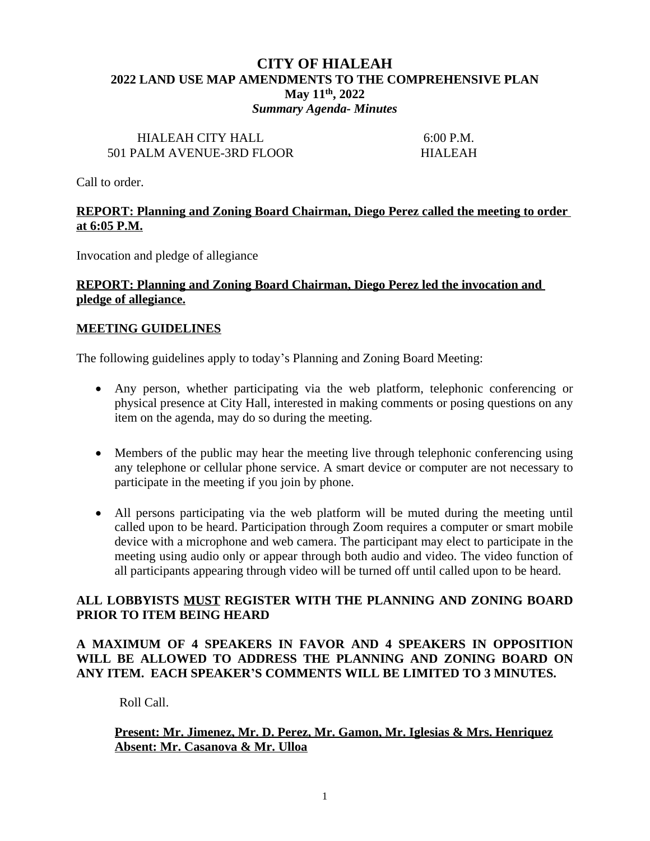# **CITY OF HIALEAH 2022 LAND USE MAP AMENDMENTS TO THE COMPREHENSIVE PLAN May 11th, 2022** *Summary Agenda- Minutes*

#### HIALEAH CITY HALL 6:00 P.M. 501 PALM AVENUE-3RD FLOOR HIALEAH

Call to order.

### **REPORT: Planning and Zoning Board Chairman, Diego Perez called the meeting to order at 6:05 P.M.**

Invocation and pledge of allegiance

#### **REPORT: Planning and Zoning Board Chairman, Diego Perez led the invocation and pledge of allegiance.**

### **MEETING GUIDELINES**

The following guidelines apply to today's Planning and Zoning Board Meeting:

- Any person, whether participating via the web platform, telephonic conferencing or physical presence at City Hall, interested in making comments or posing questions on any item on the agenda, may do so during the meeting.
- Members of the public may hear the meeting live through telephonic conferencing using any telephone or cellular phone service. A smart device or computer are not necessary to participate in the meeting if you join by phone.
- All persons participating via the web platform will be muted during the meeting until called upon to be heard. Participation through Zoom requires a computer or smart mobile device with a microphone and web camera. The participant may elect to participate in the meeting using audio only or appear through both audio and video. The video function of all participants appearing through video will be turned off until called upon to be heard.

### **ALL LOBBYISTS MUST REGISTER WITH THE PLANNING AND ZONING BOARD PRIOR TO ITEM BEING HEARD**

# **A MAXIMUM OF 4 SPEAKERS IN FAVOR AND 4 SPEAKERS IN OPPOSITION WILL BE ALLOWED TO ADDRESS THE PLANNING AND ZONING BOARD ON ANY ITEM. EACH SPEAKER'S COMMENTS WILL BE LIMITED TO 3 MINUTES.**

Roll Call.

# **Present: Mr. Jimenez, Mr. D. Perez, Mr. Gamon, Mr. Iglesias & Mrs. Henriquez Absent: Mr. Casanova & Mr. Ulloa**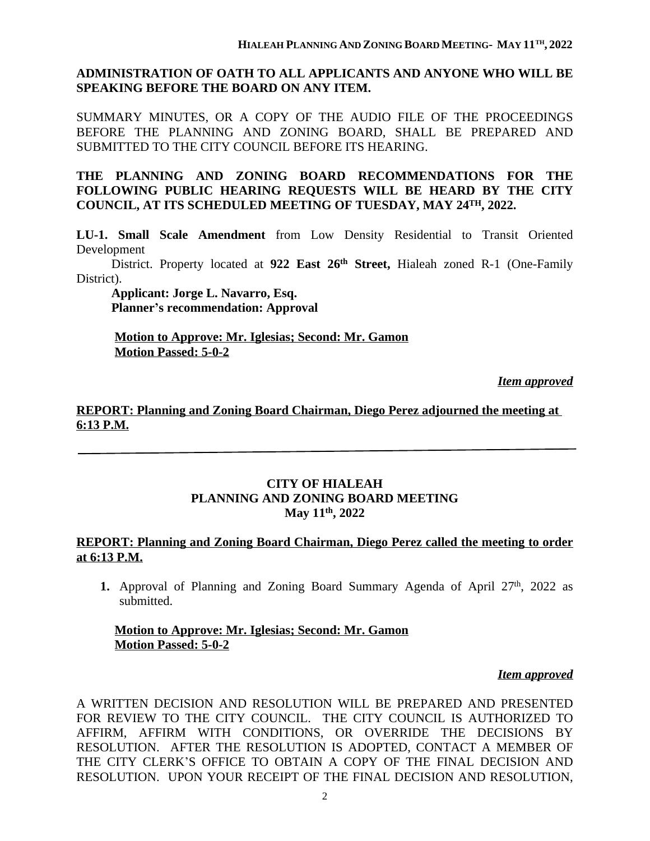### **ADMINISTRATION OF OATH TO ALL APPLICANTS AND ANYONE WHO WILL BE SPEAKING BEFORE THE BOARD ON ANY ITEM.**

SUMMARY MINUTES, OR A COPY OF THE AUDIO FILE OF THE PROCEEDINGS BEFORE THE PLANNING AND ZONING BOARD, SHALL BE PREPARED AND SUBMITTED TO THE CITY COUNCIL BEFORE ITS HEARING.

**THE PLANNING AND ZONING BOARD RECOMMENDATIONS FOR THE FOLLOWING PUBLIC HEARING REQUESTS WILL BE HEARD BY THE CITY COUNCIL, AT ITS SCHEDULED MEETING OF TUESDAY, MAY 24TH, 2022.**

**LU-1. Small Scale Amendment** from Low Density Residential to Transit Oriented Development

District. Property located at **922 East 26th Street,** Hialeah zoned R-1 (One-Family District).

 **Applicant: Jorge L. Navarro, Esq. Planner's recommendation: Approval**

**Motion to Approve: Mr. Iglesias; Second: Mr. Gamon Motion Passed: 5-0-2**

*Item approved*

### **REPORT: Planning and Zoning Board Chairman, Diego Perez adjourned the meeting at 6:13 P.M.**

#### **CITY OF HIALEAH PLANNING AND ZONING BOARD MEETING May 11th, 2022**

### **REPORT: Planning and Zoning Board Chairman, Diego Perez called the meeting to order at 6:13 P.M.**

1. Approval of Planning and Zoning Board Summary Agenda of April 27<sup>th</sup>, 2022 as submitted.

#### **Motion to Approve: Mr. Iglesias; Second: Mr. Gamon Motion Passed: 5-0-2**

#### *Item approved*

A WRITTEN DECISION AND RESOLUTION WILL BE PREPARED AND PRESENTED FOR REVIEW TO THE CITY COUNCIL. THE CITY COUNCIL IS AUTHORIZED TO AFFIRM, AFFIRM WITH CONDITIONS, OR OVERRIDE THE DECISIONS BY RESOLUTION. AFTER THE RESOLUTION IS ADOPTED, CONTACT A MEMBER OF THE CITY CLERK'S OFFICE TO OBTAIN A COPY OF THE FINAL DECISION AND RESOLUTION. UPON YOUR RECEIPT OF THE FINAL DECISION AND RESOLUTION,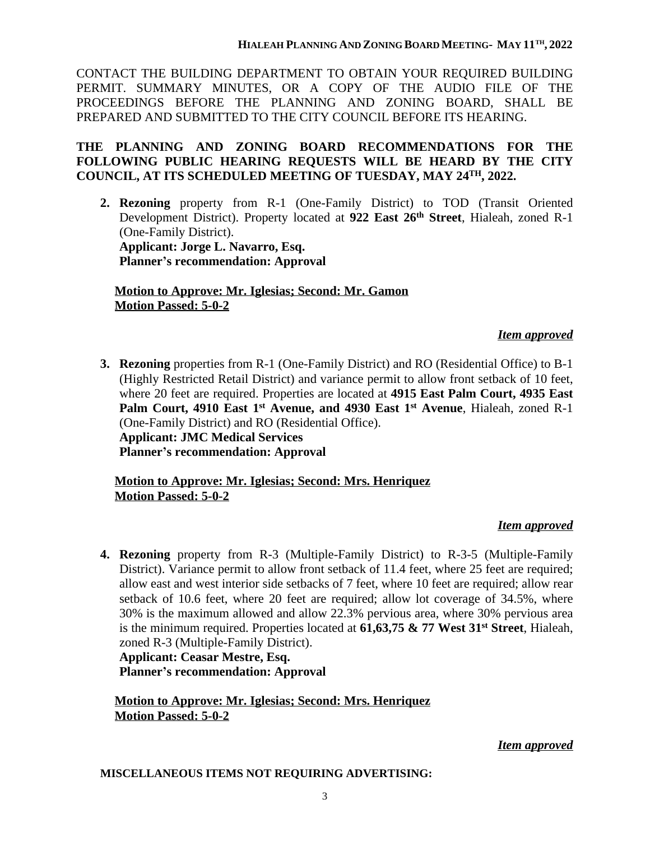CONTACT THE BUILDING DEPARTMENT TO OBTAIN YOUR REQUIRED BUILDING PERMIT. SUMMARY MINUTES, OR A COPY OF THE AUDIO FILE OF THE PROCEEDINGS BEFORE THE PLANNING AND ZONING BOARD, SHALL BE PREPARED AND SUBMITTED TO THE CITY COUNCIL BEFORE ITS HEARING.

# **THE PLANNING AND ZONING BOARD RECOMMENDATIONS FOR THE FOLLOWING PUBLIC HEARING REQUESTS WILL BE HEARD BY THE CITY COUNCIL, AT ITS SCHEDULED MEETING OF TUESDAY, MAY 24TH, 2022.**

**2. Rezoning** property from R-1 (One-Family District) to TOD (Transit Oriented Development District). Property located at **922 East 26th Street**, Hialeah, zoned R-1 (One-Family District). **Applicant: Jorge L. Navarro, Esq. Planner's recommendation: Approval**

**Motion to Approve: Mr. Iglesias; Second: Mr. Gamon Motion Passed: 5-0-2**

# *Item approved*

**3. Rezoning** properties from R-1 (One-Family District) and RO (Residential Office) to B-1 (Highly Restricted Retail District) and variance permit to allow front setback of 10 feet, where 20 feet are required. Properties are located at **4915 East Palm Court, 4935 East Palm Court, 4910 East 1 st Avenue, and 4930 East 1 st Avenue**, Hialeah, zoned R-1 (One-Family District) and RO (Residential Office). **Applicant: JMC Medical Services Planner's recommendation: Approval**

### **Motion to Approve: Mr. Iglesias; Second: Mrs. Henriquez Motion Passed: 5-0-2**

# *Item approved*

**4. Rezoning** property from R-3 (Multiple-Family District) to R-3-5 (Multiple-Family District). Variance permit to allow front setback of 11.4 feet, where 25 feet are required; allow east and west interior side setbacks of 7 feet, where 10 feet are required; allow rear setback of 10.6 feet, where 20 feet are required; allow lot coverage of 34.5%, where 30% is the maximum allowed and allow 22.3% pervious area, where 30% pervious area is the minimum required. Properties located at **61,63,75 & 77 West 31st Street**, Hialeah, zoned R-3 (Multiple-Family District).

**Applicant: Ceasar Mestre, Esq. Planner's recommendation: Approval**

**Motion to Approve: Mr. Iglesias; Second: Mrs. Henriquez Motion Passed: 5-0-2**

# *Item approved*

**MISCELLANEOUS ITEMS NOT REQUIRING ADVERTISING:**